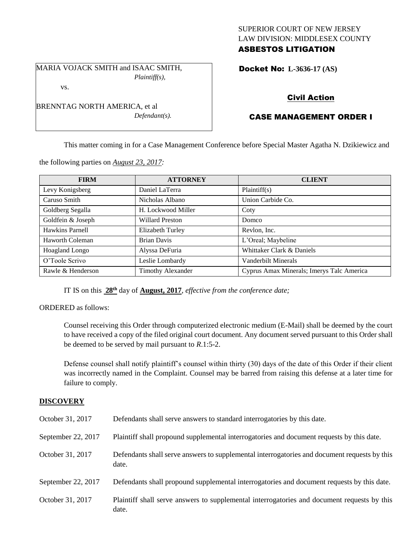## SUPERIOR COURT OF NEW JERSEY LAW DIVISION: MIDDLESEX COUNTY ASBESTOS LITIGATION

MARIA VOJACK SMITH and ISAAC SMITH, *Plaintiff(s),* vs.

*Defendant(s).*

Docket No: **L-3636-17 (AS)** 

# Civil Action

# CASE MANAGEMENT ORDER I

This matter coming in for a Case Management Conference before Special Master Agatha N. Dzikiewicz and

| <b>FIRM</b>            | <b>ATTORNEY</b>          | <b>CLIENT</b>                             |
|------------------------|--------------------------|-------------------------------------------|
| Levy Konigsberg        | Daniel LaTerra           | Plaintiff(s)                              |
| Caruso Smith           | Nicholas Albano          | Union Carbide Co.                         |
| Goldberg Segalla       | H. Lockwood Miller       | Coty                                      |
| Goldfein & Joseph      | <b>Willard Preston</b>   | Domco                                     |
| Hawkins Parnell        | Elizabeth Turley         | Revlon, Inc.                              |
| <b>Haworth Coleman</b> | <b>Brian Davis</b>       | L'Oreal; Maybeline                        |
| Hoagland Longo         | Alyssa DeFuria           | Whittaker Clark & Daniels                 |
| O'Toole Scrivo         | Leslie Lombardy          | Vanderbilt Minerals                       |
| Rawle & Henderson      | <b>Timothy Alexander</b> | Cyprus Amax Minerals; Imerys Talc America |

the following parties on *August 23, 2017:*

BRENNTAG NORTH AMERICA, et al

IT IS on this **28th** day of **August, 2017**, *effective from the conference date;*

ORDERED as follows:

Counsel receiving this Order through computerized electronic medium (E-Mail) shall be deemed by the court to have received a copy of the filed original court document. Any document served pursuant to this Order shall be deemed to be served by mail pursuant to *R*.1:5-2.

Defense counsel shall notify plaintiff's counsel within thirty (30) days of the date of this Order if their client was incorrectly named in the Complaint. Counsel may be barred from raising this defense at a later time for failure to comply.

#### **DISCOVERY**

| October 31, 2017   | Defendants shall serve answers to standard interrogatories by this date.                              |
|--------------------|-------------------------------------------------------------------------------------------------------|
| September 22, 2017 | Plaintiff shall propound supplemental interrogatories and document requests by this date.             |
| October 31, 2017   | Defendants shall serve answers to supplemental interrogatories and document requests by this<br>date. |
| September 22, 2017 | Defendants shall propound supplemental interrogatories and document requests by this date.            |
| October 31, 2017   | Plaintiff shall serve answers to supplemental interrogatories and document requests by this<br>date.  |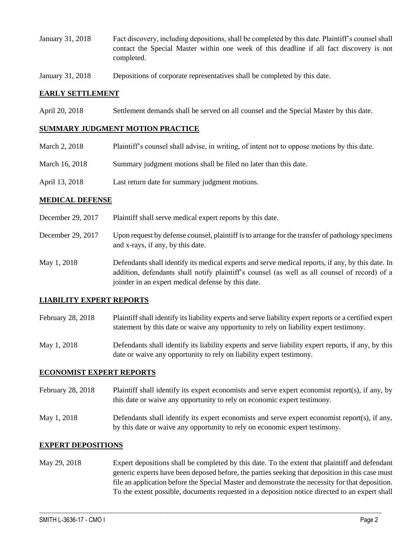- January 31, 2018 Fact discovery, including depositions, shall be completed by this date. Plaintiff's counsel shall contact the Special Master within one week of this deadline if all fact discovery is not completed.
- January 31, 2018 Depositions of corporate representatives shall be completed by this date.

## **EARLY SETTLEMENT**

April 20, 2018 Settlement demands shall be served on all counsel and the Special Master by this date.

#### **SUMMARY JUDGMENT MOTION PRACTICE**

- March 2, 2018 Plaintiff's counsel shall advise, in writing, of intent not to oppose motions by this date.
- March 16, 2018 Summary judgment motions shall be filed no later than this date.
- April 13, 2018 Last return date for summary judgment motions.

## **MEDICAL DEFENSE**

- December 29, 2017 Plaintiff shall serve medical expert reports by this date.
- December 29, 2017 Upon request by defense counsel, plaintiff is to arrange for the transfer of pathology specimens and x-rays, if any, by this date.
- May 1, 2018 Defendants shall identify its medical experts and serve medical reports, if any, by this date. In addition, defendants shall notify plaintiff's counsel (as well as all counsel of record) of a joinder in an expert medical defense by this date.

## **LIABILITY EXPERT REPORTS**

- February 28, 2018 Plaintiff shall identify its liability experts and serve liability expert reports or a certified expert statement by this date or waive any opportunity to rely on liability expert testimony.
- May 1, 2018 Defendants shall identify its liability experts and serve liability expert reports, if any, by this date or waive any opportunity to rely on liability expert testimony.

#### **ECONOMIST EXPERT REPORTS**

- February 28, 2018 Plaintiff shall identify its expert economists and serve expert economist report(s), if any, by this date or waive any opportunity to rely on economic expert testimony.
- May 1, 2018 Defendants shall identify its expert economists and serve expert economist report(s), if any, by this date or waive any opportunity to rely on economic expert testimony.

#### **EXPERT DEPOSITIONS**

May 29, 2018 Expert depositions shall be completed by this date. To the extent that plaintiff and defendant generic experts have been deposed before, the parties seeking that deposition in this case must file an application before the Special Master and demonstrate the necessity for that deposition. To the extent possible, documents requested in a deposition notice directed to an expert shall

 $\_$  ,  $\_$  ,  $\_$  ,  $\_$  ,  $\_$  ,  $\_$  ,  $\_$  ,  $\_$  ,  $\_$  ,  $\_$  ,  $\_$  ,  $\_$  ,  $\_$  ,  $\_$  ,  $\_$  ,  $\_$  ,  $\_$  ,  $\_$  ,  $\_$  ,  $\_$  ,  $\_$  ,  $\_$  ,  $\_$  ,  $\_$  ,  $\_$  ,  $\_$  ,  $\_$  ,  $\_$  ,  $\_$  ,  $\_$  ,  $\_$  ,  $\_$  ,  $\_$  ,  $\_$  ,  $\_$  ,  $\_$  ,  $\_$  ,